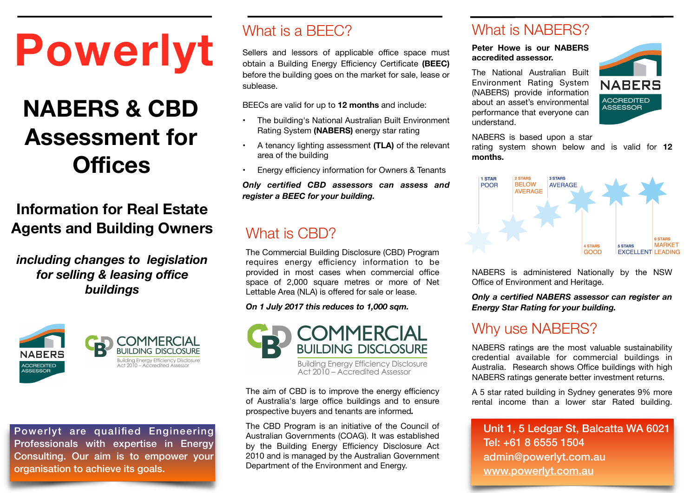# **Powerlyt**

## **NABERS & CBD Assessment for Offices**

## **Information for Real Estate Agents and Building Owners**

#### *including changes to legislation for selling & leasing office buildings*



Powerlyt are qualified Engineering Professionals with expertise in Energy Consulting. Our aim is to empower your organisation to achieve its goals.

## What is a **BFFC?**

Sellers and lessors of applicable office space must obtain a Building Energy Efficiency Certificate **(BEEC)** before the building goes on the market for sale, lease or sublease.

BEECs are valid for up to **12 months** and include:

- The building's National Australian Built Environment Rating System **(NABERS)** energy star rating
- A tenancy lighting assessment **(TLA)** of the relevant area of the building
- Energy efficiency information for Owners & Tenants

*Only certified CBD assessors can assess and register a BEEC for your building.* 

#### What is CBD?

The Commercial Building Disclosure (CBD) Program requires energy efficiency information to be provided in most cases when commercial office space of 2,000 square metres or more of Net Lettable Area (NLA) is offered for sale or lease.

*On 1 July 2017 this reduces to 1,000 sqm.* 



Building Energy Efficiency Disclosure<br>Act 2010 - Accredited Assessor

The aim of CBD is to improve the energy efficiency of Australia's large office buildings and to ensure prospective buyers and tenants are informed*.* 

The CBD Program is an initiative of the Council of Australian Governments (COAG). It was established by the Building Energy Efficiency Disclosure Act 2010 and is managed by the Australian Government Department of the Environment and Energy.

## What is NARFRS?

**Peter Howe is our NABERS accredited assessor.** 

The National Australian Built Environment Rating System (NABERS) provide information about an asset's environmental performance that everyone can understand.



NABERS is based upon a star

rating system shown below and is valid for **12 months.**



NABERS is administered Nationally by the NSW Office of Environment and Heritage.

*Only a certified NABERS assessor can register an Energy Star Rating for your building.* 

## Why use NABERS?

NABERS ratings are the most valuable sustainability credential available for commercial buildings in Australia. Research shows Office buildings with high NABERS ratings generate better investment returns.

A 5 star rated building in Sydney generates 9% more rental income than a lower star Rated building.

Unit 1, 5 Ledgar St, Balcatta WA 6021 Tel: +61 8 6555 1504 admin@powerlyt.com.au [www.powerlyt.com.au](http://www.powerlyt.com.au)